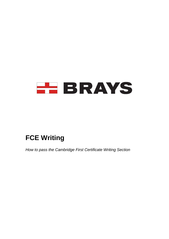

# **FCE Writing**

*How to pass the Cambridge First Certificate Writing Section*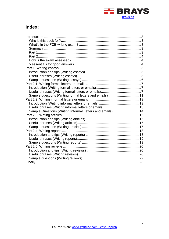

## **Index:**

| Sample questions (Writing formal letters and emails)  11   |  |
|------------------------------------------------------------|--|
|                                                            |  |
|                                                            |  |
|                                                            |  |
| Sample Questions (Writing Informal Letters and emails)  14 |  |
|                                                            |  |
|                                                            |  |
|                                                            |  |
|                                                            |  |
|                                                            |  |
|                                                            |  |
|                                                            |  |
|                                                            |  |
|                                                            |  |
|                                                            |  |
|                                                            |  |
|                                                            |  |
|                                                            |  |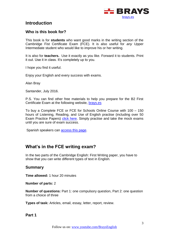

## <span id="page-2-0"></span>**Introduction**

## <span id="page-2-1"></span>**Who is this book for?**

This book is for **students** who want good marks in the writing section of the Cambridge Fist Certificate Exam (FCE). It is also useful for *any* Upper Intermediate student who would like to improve his or her writing.

It is also for **teachers.** Use it exactly as you like. Forward it to students. Print it out. Use it in class. It's completely up to you.

I hope you find it useful.

Enjoy your English and every success with exams.

Alan Bray

Santander, July 2016.

P.S. You can find other free materials to help you prepare for the B2 First Certificate Exam at the following website, [brays.es](http://brays.es/)

To buy a Complete FCE or FCE for Schools Online Course with 100 – 150 hours of Listening, Reading, and Use of English practise (including over 50 Exam Practice Papers) [click here.](https://brays.es/online/descripcion/) Simply practise and take the mock exams until you are sure of exam success.

Spanish speakers can [access this page.](https://brays.es/online/descripcion/)

## <span id="page-2-2"></span>**What's in the FCE writing exam?**

In the two parts of the Cambridge English: First Writing paper, you have to show that you can write different types of text in English.

#### <span id="page-2-3"></span>**Summary**

**Time allowed:** 1 hour 20 minutes

**Number of parts:** 2

**Number of questions:** Part 1: one compulsory question, Part 2: one question from a choice of three

**Types of task:** Articles, email, essay, letter, report, review.

<span id="page-2-4"></span>**Part 1**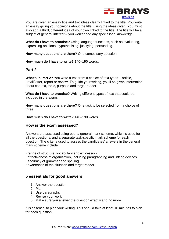

You are given an essay title and two ideas clearly linked to the title. You write an essay giving your opinions about the title, using the ideas given. You must also add a third, different idea of your own linked to the title. The title will be a subject of general interest – you won't need any specialised knowledge.

**What do I have to practise?** Using language functions, such as evaluating, expressing opinions, hypothesising, justifying, persuading.

**How many questions are there?** One compulsory question.

<span id="page-3-0"></span>**How much do I have to write?** 140–190 words.

#### **Part 2**

**What's in Part 2?** You write a text from a choice of text types – article, email/letter, report or review. To guide your writing, you'll be given information about context, topic, purpose and target reader.

**What do I have to practise?** Writing different types of text that could be included in the exam.

**How many questions are there?** One task to be selected from a choice of three.

<span id="page-3-1"></span>**How much do I have to write?** 140–190 words

#### **How is the exam assessed?**

Answers are assessed using both a general mark scheme, which is used for all the questions, and a separate task-specific mark scheme for each question. The criteria used to assess the candidates' answers in the general mark scheme include:

- range of structure, vocabulary and expression
- effectiveness of organisation, including paragraphing and linking devices
- accuracy of grammar and spelling
- awareness of the situation and target reader.

## <span id="page-3-2"></span>**5 essentials for good answers**

- 1. Answer the question
- 2. Plan
- 3. Use paragraphs
- 4. Revise your work
- 5. Make sure you answer the question exactly and no more.

It is essential to plan your writing. This should take at least 10 minutes to plan for each question.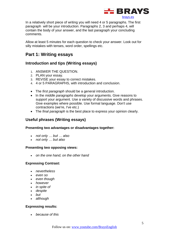

In a relatively short piece of writing you will need 4 or 5 paragraphs. The first paragraph will be your introduction. Paragraphs 2, 3 and perhaps 4, will contain the body of your answer, and the last paragraph your concluding comments.

Allow at least 5 minutes for each question to check your answer. Look out for silly mistakes with tenses, word order, spellings etc.

## <span id="page-4-0"></span>**Part 1: Writing essays**

## <span id="page-4-1"></span>**Introduction and tips (Writing essays)**

- 1. ANSWER THE QUESTION.
- 2. PLAN your essay.
- 3. REVISE your essay to correct mistakes.
- 4. 4 or 5 PARAGRAPHS, with introduction and conclusion.
- The *first paragraph* should be a general introduction.
- In the *middle paragraphs* develop your arguments. Give reasons to support your argument. Use a variety of discussive words and phrases. Give examples where possible. Use formal language. Don't use contractions (we're, I've etc.)
- The *final paragraph* is the best place to express your opinion clearly.

## <span id="page-4-2"></span>**Useful phrases (Writing essays)**

#### **Presenting two advantages or disadvantages together:**

- *not only … but … also*
- *not only … but also*

#### **Presenting two opposing views:**

*on the one hand, on the other hand*

#### **Expressing Contrast:**

- *nevertheless*
- *even so*
- *even though*
- *however*
- *in spite of*
- *despite*
- *but*
- *although*

#### **Expressing results:**

*because of this*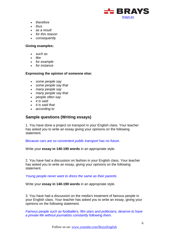

- *therefore*
- *thus*
- *as a result*
- *for this reason*
- *consequently*

#### **Giving examples:**

- *such as*
- *like*
- *for example*
- *for instance*

#### **Expressing the opinion of someone else:**

- *some people say*
- *some people say that*
- *many people say*
- *many people say that*
- *people often say*
- *it is said*
- *it is said that*
- *according to*

## <span id="page-5-0"></span>**Sample questions (Writing essays)**

1. You have done a project on transport in your English class. Your teacher has asked you to write an essay giving your opinions on the following statement.

*Because cars are so convenient public transport has no future.* 

Write your **essay in 140-190 words** in an appropriate style.

2. You have had a discussion on fashion in your English class. Your teacher has asked you to write an essay, giving your opinions on the following statement.

*Young people never want to dress the same as their parents*

Write your **essay in 140-190 words** in an appropriate style.

3. You have had a discussion on the media's treatment of famous people in your English class. Your teacher has asked you to write an essay, giving your opinions on the following statement.

*Famous people such as footballers, film stars and politicians, deserve to have a private life without journalists constantly following them.*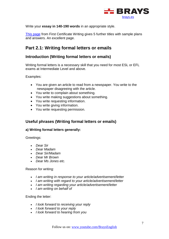

Write your **essay in 140-190 words** in an appropriate style.

[This page](http://www.firstcertificatewriting.co.uk/live/paper-2-writing-part-1-essays/) from First Certificate Writing gives 5 further titles with sample plans and answers. An excellent page.

## <span id="page-6-0"></span>**Part 2.1: Writing formal letters or emails**

## <span id="page-6-1"></span>**Introduction (Writing formal letters or emails)**

Writing formal letters is a necessary skill that you need for most ESL or EFL exams at Intermediate Level and above.

Examples:

- You are given an article to read from a newspaper. You write to the newspaper disagreeing with the article.
- You write to complain about something.
- You write making suggestions about something.
- You write requesting information.
- You write giving information.
- You write requesting permission.

## <span id="page-6-2"></span>**Useful phrases (Writing formal letters or emails)**

#### **a) Writing formal letters generally:**

Greetings:

- *Dear Sir*
- *Dear Madam*
- *Dear Sir/Madam*
- *Dear Mr Brown*
- *Dear Ms Jones etc.*

#### Reason for writing:

- *I am writing in response to your article/advertisement/letter*
- *I am writing with regard to your article/advertisement/letter*
- *I am writing regarding your article/advertisement/letter*
- *I am writing on behalf of*

Ending the letter:

- *I look forward to receiving your reply*
- *I look forward to your reply*
- *I look forward to hearing from you*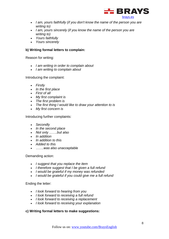

- *I am, yours faithfully (if you don't know the name of the person you are writing to)*
- *I am, yours sincerely (if you know the name of the person you are writing to)*
- *Yours faithfully*
- *Yours sincerely*

#### **b) Writing formal letters to complain:**

Reason for writing:

- *I am writing in order to complain about*
- *I am writing to complain about*

Introducing the complaint:

- *Firstly*
- *In the first place*
- *First of all*
- *My first complaint is*
- *The first problem is*
- *The first thing I would like to draw your attention to is*
- *My first concern is*

Introducing further complaints:

- *Secondly*
- *In the second place*
- *Not only …….but also*
- *In addition*
- *In addition to this*
- *Added to this*
- *…….was also unacceptable*

Demanding action:

- *I suggest that you replace the item*
- *I therefore suggest that I be given a full refund*
- *I would be grateful if my money was refunded*
- *I would be grateful if you could give me a full refund*

Ending the letter:

- *I look forward to hearing from you*
- *I look forward to receiving a full refund*
- *I look forward to receiving a replacement*
- *I look forward to receiving your explanation*

#### **c) Writing formal letters to make suggestions:**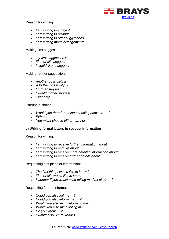

Reason for writing:

- *I am writing to suggest*
- *I am writing to arrange*
- *I am writing to offer suggestions*
- *I am writing make arrangements*

Making first suggestion:

- *My first suggestion is*
- *First of all I suggest*
- *I would like to suggest*

Making further suggestions:

- *Another possibility is*
- *A further possibility is*
- *I further suggest*
- *I would further suggest*
- Secondly

Offering a choice:

- *Would you therefore mind choosing between ….?*
- *Either……or*
- *You might choose either ……. or*

#### **d) Writing formal letters to request information**

Reason for writing:

- *I am writing to receive further information about*
- *I am writing to enquire about*
- *I am writing to receive more detailed information about*
- *I am writing to receive further details about*

Requesting first piece of information:

- *The first thing I would like to know is*
- *First of all I would like to know*
- *I wonder if you would mind telling me first of all ….?*

Requesting further information:

- *Could you also tell me….?*
- *Could you also inform me ….?*
- *Would you also mind informing me ….?*
- *Would you also mind telling me ….?*
- *Do you know ….?*
- *I would also like to know if*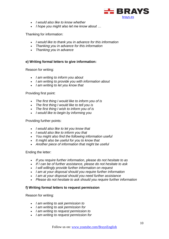

- *I would also like to know whether*
- *I hope you might also let me know about …*

Thanking for information:

- *I would like to thank you in advance for this information*
- *Thanking you in advance for this information*
- *Thanking you in advance*

#### **e) Writing formal letters to give information:**

Reason for writing:

- *I am writing to inform you about*
- *I am writing to provide you with information about*
- *I am writing to let you know that*

Providing first point:

- *The first thing I would like to inform you of is*
- *The first thing I would like to tell you is*
- *The first thing I wish to inform you of is*
- *I would like to begin by informing you*

Providing further points:

- *I would also like to let you know that*
- *I would also like to inform you that*
- *You might also find the following information useful*
- *It might also be useful for you to know that*
- *Another piece of information that might be useful*

Ending the letter:

- *If you require further information, please do not hesitate to as*
- *If I can be of further assistance, please do not hesitate to ask*
- *I will willingly provide further information on request*
- *I am at your disposal should you require further information*
- *I am at your disposal should you need further assistance*
- *Please do not hesitate to ask should you require further information*

#### **f) Writing formal letters to request permission**

Reason for writing:

- *I am writing to ask permission to*
- *I am writing to ask permission for*
- *I am writing to request permission to*
- *I am writing to request permission for*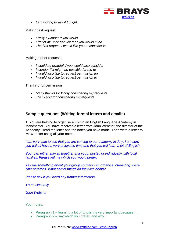

*I am writing to ask if I might*

Making first request:

- *Firstly I wonder if you would*
- *First of all I wonder whether you would mind*
- *The first request I would like you to consider is*

Making further requests:

- *I would be grateful if you would also consider*
- *I wonder if it might be possible for me to*
- *I would also like to request permission for*
- *I would also like to request permission to*

Thanking for permission

- *Many thanks for kindly considering my requests*
- *Thank you for considering my requests*

## <span id="page-10-0"></span>**Sample questions (Writing formal letters and emails)**

1. You are helping to organise a visit to an English Language Academy in Manchester. You have received a letter from John Webster, the director of the Academy. Read the letter and the notes you have made. Then write a letter to Mr Webster using all your notes.

*I am very glad to see that you are coming to our academy in July. I am sure you will all have a very enjoyable time and that you will learn a lot of English.*

*Your can either stay all together in a youth hostel, or individually with local families. Please tell me which you would prefer.*

*Tell me something about your group so that I can organise interesting spare time activities. What sort of things do they like doing?*

*Please ask if you need any further information.*

*Yours sincerely,*

*John Webster*

Your notes:

- Paragraph 1 learning a lot of English is very important because .....
- Paragraph  $2 say$  which you prefer, and why.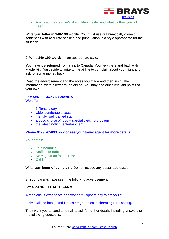

 Ask what the weather's like in Manchester and what clothes you will need.

Write your **letter in 140-190 words**. You must use grammatically correct sentences with accurate spelling and punctuation in a style appropriate for the situation.

#### 2. Write **140-190 words** in an appropriate style.

You have just returned from a trip to Canada. You flew there and back with Maple Air. You decide to write to the airline to complain about your flight and ask for some money back.

Read the advertisement and the notes you made and then, using the information, write a letter to the airline. You may add other relevant points of your own.

#### *FLY MAPLE AIR TO CANADA* We offer:

- 3 flights a day
- wide, comfortable seats
- friendly, well-trained staff
- a good choice of food special diets no problem
- the latest in-flight entertainment

#### **Phone 0179 765893 now or see your travel agent for more details.**

Your notes:

- Late boarding
- Staff quite rude
- No vegetarian food for me
- . Old film

Write your **letter of complaint**. Do not include any postal addresses.

3. Your parents have seen the following advertisement.

#### **IVY GRANGE HEALTH FARM**

A marvellous experience and wonderful opportunity to get you fit.

Individualised health and fitness programmes in charming rural setting.

They want you to send an email to ask for further details including answers to the following questions: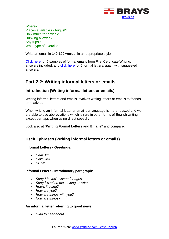

Where? Places available in August? How much for a week? Drinking allowed? Any trips? What type of exercise?

Write an email in **140-190 words** in an appropriate style.

[Click here](http://www.firstcertificatewriting.co.uk/live/paper-2-writing-part-2-formal-email/) for 5 samples of formal emails from First Certificate Writing, answers included, and [click here](http://www.firstcertificatewriting.co.uk/live/paper-2-writing-part-2-formal-letter/) for 5 formal letters, again with suggested answers.

## <span id="page-12-0"></span>**Part 2.2: Writing informal letters or emails**

## <span id="page-12-1"></span>**Introduction (Writing informal letters or emails)**

Writing informal letters and emails involves writing letters or emails to friends or relatives.

When writing an informal letter or email our language is more relaxed and we are able to use abbreviations which is rare in other forms of English writing, except perhaps when using direct speech.

Look also at "**Writing Formal Letters and Emails"** and compare.

## <span id="page-12-2"></span>**Useful phrases (Writing informal letters or emails)**

#### **Informal Letters - Greetings:**

- *Dear Jim*
- *Hello Jim*
- *Hi Jim*

#### **Informal Letters - Introductory paragraph:**

- *Sorry I haven't written for ages*
- *Sorry it's taken me so long to write*
- *How's it going?*
- *How are you?*
- *How are things with you?*
- *How are things?*

#### **An informal letter referring to good news:**

*Glad to hear about*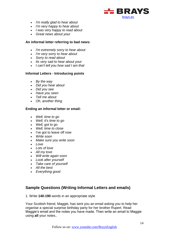

- *I'm really glad to hear about*
- *I'm very happy to hear about*
- *I was very happy to read about*
- *Great news about your*

#### **An informal letter referring to bad news:**

- *I'm extremely sorry to hear about*
- *I'm very sorry to hear about*
- *Sorry to read about*
- *Its very sad to hear about your*
- *I can't tell you how sad I am that*

#### **Informal Letters - Introducing points**

- *By the way*
- *Did you hear about*
- *Did you see*
- *Have you seen*
- *Tell me about*
- *Oh, another thing*

#### **Ending an informal letter or email:**

- *Well, time to go*
- *Well, it's time to go*
- *Well, got to go*
- *Well, time to close*
- I've got to leave off now
- *Write soon*
- *Make sure you write soon*
- *Love*
- *Lots of love*
- *All my love*
- *Will write again soon*
- *Look after yourself*
- *Take care of yourself*
- *All the best*
- *Everything good*

## <span id="page-13-0"></span>**Sample Questions (Writing Informal Letters and emails)**

1. Write **140-190** words in an appropriate style

Your Scottish friend, Maggie, has sent you an email asking you to help her organise a special surprise birthday party for her brother Rupert. Read Maggie's email and the notes you have made. Then write an email to Maggie using **all** your notes..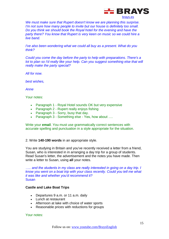

*We must make sure that Rupert doesn't know we are planning this surprise. I'm not sure how many people to invite but our house is definitely too small. Do you think we should book the Royal hotel for the evening and have the party there? You know that Rupert is very keen on music so we could hire a live band.*

*I've also been wondering what we could all buy as a present. What do you think?* 

*Could you come the day before the party to help with preparations. There's a*  lot to plan so I'd really like your help. Can you suggest something else that will *really make the party special?* 

*All for now.*

*best wishes,*

#### *Anne*

Your notes:

- Paragraph 1 Royal Hotel sounds OK but very expensive
- Paragraph 2 Rupert really enjoys fishing
- Paragraph 3 Sorry, busy that day.
- Paragraph 3 Something else Yes, how about ....

Write your **email**. You must use grammatically correct sentences with accurate spelling and punctuation in a style appropriate for the situation.

#### 2. Write **140-190 words** in an appropriate style.

You are studying in Britain and you've recently received a letter from a friend, Susan, who is interested in in arranging a day trip for a group of students. Read Susan's letter, the advertisement and the notes you have made. Then write a letter to Susan, using **all** your notes.

*….. and the students in my class are really interested in going on a day trip. I know you went on a boat trip with your class recently. Could you tell me what it was like and whether you'd recommend it?*  **Susan** 

#### **Castle and Lake Boat Trips**

- Departures 9 a.m. or 11 a.m. daily
- Lunch at restaurant
- Afternoon at lake with choice of water sports
- Reasonable prices with reductions for groups

#### Your notes: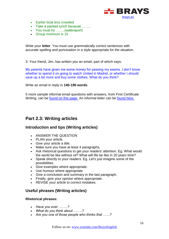

- Earlier boat less crowded
- Take a packed lunch because ........
- You must try ……..(watersport)
- Group minimum is 15

Write your **letter**. You must use grammatically correct sentences with accurate spelling and punctuation in a style appropriate for the situation.

3. Your friend, Jim, has written you an email, part of which says:

My parents have given me some money for passing my exams. I don't know whether to spend it on going to watch United in Madrid, or whether I should save up a bit more and buy some clothes. What do you think?

Write an email in reply in **140-190 words**.

5 more sample informal email questions with answers, from First Certificate Writing, can be [found on this page.](http://www.firstcertificatewriting.co.uk/live/paper-2-writing-part-2-informal-email/) An informal letter can be [found here.](http://www.firstcertificatewriting.co.uk/live/part-2-informal-letter-7/)

## <span id="page-15-0"></span>**Part 2.3: Writing articles**

## <span id="page-15-1"></span>**Introduction and tips (Writing articles)**

- ANSWER THE QUESTION
- PLAN your article.
- Give your article a title.
- Make sure you have at least 4 paragraphs.
- Ask rhetorical questions to get your readers' attention. Eg. What would the world be like without oil? What will life be like in 20 years time?
- Speak directly to your readers. Eg. Let's just imagine some of the possibilities.
- Give examples where appropriate.
- Use humour where appropriate
- Give a conclusion and summary in the last paragraph.
- Finally, give your opinion where appropriate.
- REVISE your article to correct mistakes.

## <span id="page-15-2"></span>**Useful phrases (Writing articles)**

#### **Rhetorical phrases:**

- *Have you ever ……..?*
- *What do you think about ……..?*
- *Are you one of those people who thinks that ……?*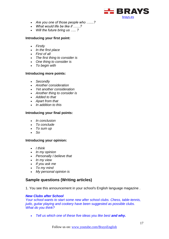

- *Are you one of those people who …....?*
- *What would life be like if ……?*
- *Will the future bring us ….. ?*

#### **Introducing your first point:**

- *Firstly*
- *In the first place*
- *First of all*
- *The first thing to consider is*
- *One thing to consider is*
- *To begin with*

#### **Introducing more points:**

- *Secondly*
- *Another consideration*
- *Yet another consideration*
- *Another thing to consider is*
- *Added to that*
- *Apart from that*
- *In addition to this*

#### **Introducing your final points:**

- *In conclusion*
- *To conclude*
- *To sum up*
- *So*

#### **Introducing your opinion:**

- *I think*
- *In my opinion*
- *Personally I believe that*
- *In my view*
- *If you ask me*
- *To my mind*
- *My personal opinion is*

## <span id="page-16-0"></span>**Sample questions (Writing articles)**

1. You see this announcement in your school's English language magazine .

#### *New Clubs after School*

*Your school wants to start some new after school clubs. Chess, table-tennis, judo, guitar playing and cookery have been suggested as possible clubs. What do you think?*

*Tell us which one of these five ideas you like best and why.*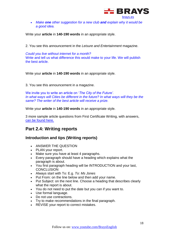

 *Make one other suggestion for a new club and explain why it would be a good idea.*

Write your **article** in **140-190 words** in an appropriate style.

2. You see this announcement in the *Leisure and Entertainment* magazine.

*Could you live without internet for a month?* Write and tell us what difference this would make to your life. We will publish the best article.

Write your **article** in **140-190 words** in an appropriate style.

3. You see this announcement in a magazine.

We invite you to write an article on '*The City of the Future'.* In what ways will Cities be different in the future? In what ways will they be the *same? The writer of the best article will receive a prize.*

Write your **article** in **140-190 words** in an appropriate style.

3 more sample article questions from First Certificate Writing, with answers, [can be found here.](http://www.firstcertificatewriting.co.uk/live/paper-2-writing-part-1-articles/)

## <span id="page-17-0"></span>**Part 2.4: Writing reports**

## <span id="page-17-1"></span>**Introduction and tips (Writing reports)**

- **ANSWER THE QUESTION**
- PLAN your report.
- Make sure you have at least 4 paragraphs.
- Every paragraph should have a heading which explains what the paragraph is about.
- You first paragraph heading will be INTRODUCTION and your last, **CONCLUSION**
- Always start with To: E.g. *To: Ms Jones*
- Put From: on the line below and then add your name.
- Put Subject: on the next line. Choose a heading that describes clearly what the report is about.
- You do not need to put the date but you can if you want to.
- Use formal language.
- Do not use contractions.
- Try to make recommendations in the final paragraph.
- REVISE your report to correct mistakes.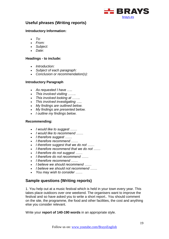

## <span id="page-18-0"></span>**Useful phrases (Writing reports)**

#### **Introductory Information:**

- *To:*
- *From:*
- *Subject:*
- *Date:*

#### **Headings - to include:**

- *Introduction:*
- *Subject of each paragraph:*
- *Conclusion or recommendation(s):*

#### **Introductory Paragraph**

- *As requested I have …..*
- *This involved visiting …….*
- *This involved looking at …….*
- *This involved investigating …..*
- *My findings are outlined below.*
- *My findings are presented below.*
- *I outline my findings below.*

#### **Recommending:**

- *I would like to suggest ……*
- *I would like to recommend ……*
- *I therefore suggest ……*
- *I therefore recommend ……*
- *I therefore suggest that we do not ……*
- *I therefore recommend that we do not ……*
- *I therefore do not suggest ……*
- *I therefore do not recommend ……*
- *I therefore recommend ……*
- *I believe we should recommend ……*
- *I believe we should not recommend ……*
- *You may wish to consider ……*

## <span id="page-18-1"></span>**Sample questions (Writing reports)**

1. You help out at a music festival which is held in your town every year. This takes place outdoors over one weekend. The organisers want to improve the festival and so have asked you to write a short report.. You should comment on the site, the programme, the food and other facilities, the cost and anything else you consider relevant.

Write your **report of 140-190 words** in an appropriate style.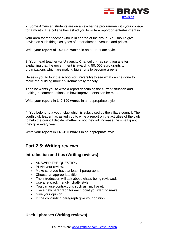

2. Some American students are on an exchange programme with your college for a month. The college has asked you to write a report on entertainment in

your area for the teacher who is in charge of the group. You should give advice on such things as types of entertainment, venues and prices.

Write your **report of 140-190 words** in an appropriate style.

3. Your head teacher (or University Chancellor) has sent you a letter explaining that the government is awarding 50, 000 euro grants to organizations which are making big efforts to become greener.

He asks you to tour the school (or university) to see what can be done to make the building more environmentally friendly.

Then he wants you to write a report describing the current situation and making recommendations on how improvements can be made.

Write your **report in 140-190 words** in an appropriate style.

4. You belong to a youth club which is subsidised by the village council. The youth club leader has asked you to write a report on the activities of the club to help the council decide whether or not they will increase the small grant they give every year.

Write your **report in 140-190 words** in an appropriate style.

## <span id="page-19-0"></span>**Part 2.5: Writing reviews**

## <span id="page-19-1"></span>**Introduction and tips (Writing reviews)**

- **ANSWER THE QUESTION**
- PLAN your review.
- Make sure you have at least 4 paragraphs.
- Choose an appropriate title.
- The introduction will talk about what's being reviewed.
- Use a relaxed, friendly, chatty style.
- You can use contractions such as I'm, I've etc..
- Use a new paragraph for each point you want to make.
- Give your opinion.
- In the concluding paragraph give your opinion.

## <span id="page-19-2"></span>**Useful phrases (Writing reviews)**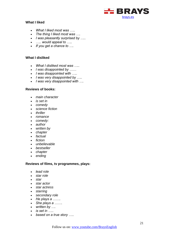

#### **What I liked**

- *What I liked most was …..*
- *The thing I liked most was ….*
- *I was pleasantly surprised by …..*
- *….. would appeal to …..*
- *If you get a chance to ….*

#### **What I disliked**

- *What I disliked most was …..*
- *I was disappointed by ……*
- *I was disappointed with …..*
- *I was very disappointed by …..*
- *I was very disappointed with ….*

#### **Reviews of books:**

- *main character*
- *is set in*
- *comedy*
- *science fiction*
- *thriller*
- *romance*
- *comedy:*
- *author*
- *written by*
- *chapter*
- *factual*
- *fiction*
- *unbelievable*
- *bestseller*
- *chapter*
- *ending*

#### **Reviews of films, tv programmes, plays:**

- *lead role*
- *star role*
- *star*
- *star actor*
- *star actress*
- *starring*
- *secondary role*
- *He plays a …….*
- *She plays a …….*
- *written by ….*
- *is set in …..*
- *based on a true story …..*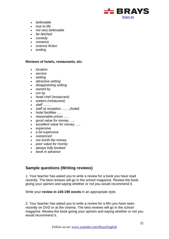

- *believable*
- *true to life*
- *not very believable*
- *far-fetched*
- *comedy*
- *romance*
- *science fiction*
- *ending*

#### **Reviews of hotels, restaurants, etc:**

- *location*
- *service*
- *setting*
- *attractive setting*
- *disappointing setting*
- *owned by*
- *run by*
- *head chef (restaurant)*
- *waiters (restaurant)*
- *staff …….*
- *staff at reception …….(hotel)*
- *hotel facilities ….*
- *reasonable prices …..*
- *good value for money …..*
- *excellent value for money …..*
- *expensive*
- *a bit expensive*
- *overpriced*
- *not worth the money*
- *poor value for money*
- *always fully booked*
- *book in advance*

## <span id="page-21-0"></span>**Sample questions (Writing reviews)**

1. Your teacher has asked you to write a review for a book you have read recently. The best reviews will go in the school magazine. Review the book giving your opinion and saying whether or not you would recommend it.

Write your **review in 140-190 words** in an appropriate style.

2. Your teacher has asked you to write a review for a film you have seen recently on DVD or at the cinema. The best reviews will go in the school magazine. Review the book giving your opinion and saying whether or not you would recommend it.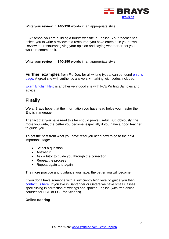

Write your **review in 140-190 words** in an appropriate style.

3. At school you are building a tourist website in English. Your teacher has asked you to write a review of a restaurant you have eaten at in your town. Review the restaurant giving your opinion and saying whether or not you would recommend it.

Write your **review in 140-190 words** in an appropriate style.

**Further examples** from Flo-Joe, for all writing types, can be found on this [page.](http://www.flo-joe.co.uk/fce/students/writing/makeover/archive.htm) A great site with authentic answers + marking with codes included.

[Exam English Help](http://englishexamhelp.com/fce-writing/) is another very good site with FCE Writing Samples and advice.

## <span id="page-22-0"></span>**Finally**

We at Brays hope that the information you have read helps you master the English language.

The fact that you have read this far should prove useful. But, obviously, the more you write, the better you become, especially if you have a good teacher to guide you.

To get the best from what you have read you need now to go to the next important stage:

- Select a question!
- Answer it
- Ask a tutor to guide you through the correction
- Repeat the process
- Repeat again and again

The more practice and guidance you have, the better you will become.

If you don't have someone with a sufficiently high level to guide you then [contact us here.](http://brays.es/contacto) If you live in Santander or Getafe we have small classes specialising in correction of writings and spoken English (with free online courses for FCE or FCE for Schools)

#### **Online tutoring**